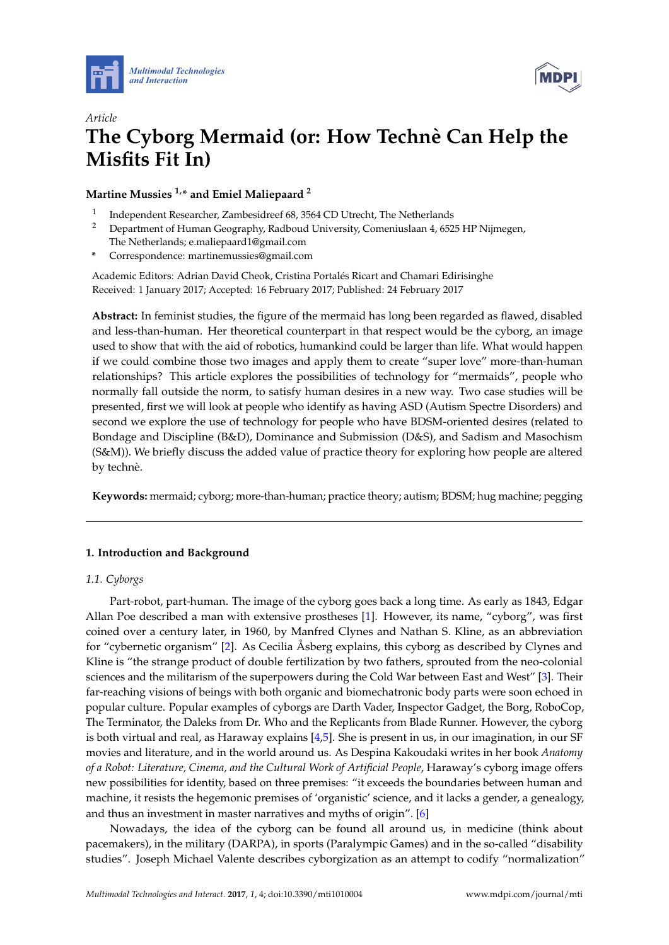



# *Article* **The Cyborg Mermaid (or: How Technè Can Help the Misfits Fit In)**

# **Martine Mussies 1,\* and Emiel Maliepaard <sup>2</sup>**

- 1 Independent Researcher, Zambesidreef 68, 3564 CD Utrecht, The Netherlands
- <sup>2</sup> Department of Human Geography, Radboud University, Comeniuslaan 4, 6525 HP Nijmegen, The Netherlands; e.maliepaard1@gmail.com
- **\*** Correspondence: martinemussies@gmail.com

Academic Editors: Adrian David Cheok, Cristina Portalés Ricart and Chamari Edirisinghe Received: 1 January 2017; Accepted: 16 February 2017; Published: 24 February 2017

**Abstract:** In feminist studies, the figure of the mermaid has long been regarded as flawed, disabled and less-than-human. Her theoretical counterpart in that respect would be the cyborg, an image used to show that with the aid of robotics, humankind could be larger than life. What would happen if we could combine those two images and apply them to create "super love" more-than-human relationships? This article explores the possibilities of technology for "mermaids", people who normally fall outside the norm, to satisfy human desires in a new way. Two case studies will be presented, first we will look at people who identify as having ASD (Autism Spectre Disorders) and second we explore the use of technology for people who have BDSM-oriented desires (related to Bondage and Discipline (B&D), Dominance and Submission (D&S), and Sadism and Masochism (S&M)). We briefly discuss the added value of practice theory for exploring how people are altered by technè.

**Keywords:** mermaid; cyborg; more-than-human; practice theory; autism; BDSM; hug machine; pegging

# **1. Introduction and Background**

# *1.1. Cyborgs*

Part-robot, part-human. The image of the cyborg goes back a long time. As early as 1843, Edgar Allan Poe described a man with extensive prostheses [\[1\]](#page-8-0). However, its name, "cyborg", was first coined over a century later, in 1960, by Manfred Clynes and Nathan S. Kline, as an abbreviation for "cybernetic organism" [\[2\]](#page-8-1). As Cecilia Åsberg explains, this cyborg as described by Clynes and Kline is "the strange product of double fertilization by two fathers, sprouted from the neo-colonial sciences and the militarism of the superpowers during the Cold War between East and West" [\[3\]](#page-8-2). Their far-reaching visions of beings with both organic and biomechatronic body parts were soon echoed in popular culture. Popular examples of cyborgs are Darth Vader, Inspector Gadget, the Borg, RoboCop, The Terminator, the Daleks from Dr. Who and the Replicants from Blade Runner. However, the cyborg is both virtual and real, as Haraway explains [\[4](#page-8-3)[,5\]](#page-8-4). She is present in us, in our imagination, in our SF movies and literature, and in the world around us. As Despina Kakoudaki writes in her book *Anatomy of a Robot: Literature, Cinema, and the Cultural Work of Artificial People*, Haraway's cyborg image offers new possibilities for identity, based on three premises: "it exceeds the boundaries between human and machine, it resists the hegemonic premises of 'organistic' science, and it lacks a gender, a genealogy, and thus an investment in master narratives and myths of origin". [\[6\]](#page-8-5)

Nowadays, the idea of the cyborg can be found all around us, in medicine (think about pacemakers), in the military (DARPA), in sports (Paralympic Games) and in the so-called "disability studies". Joseph Michael Valente describes cyborgization as an attempt to codify "normalization"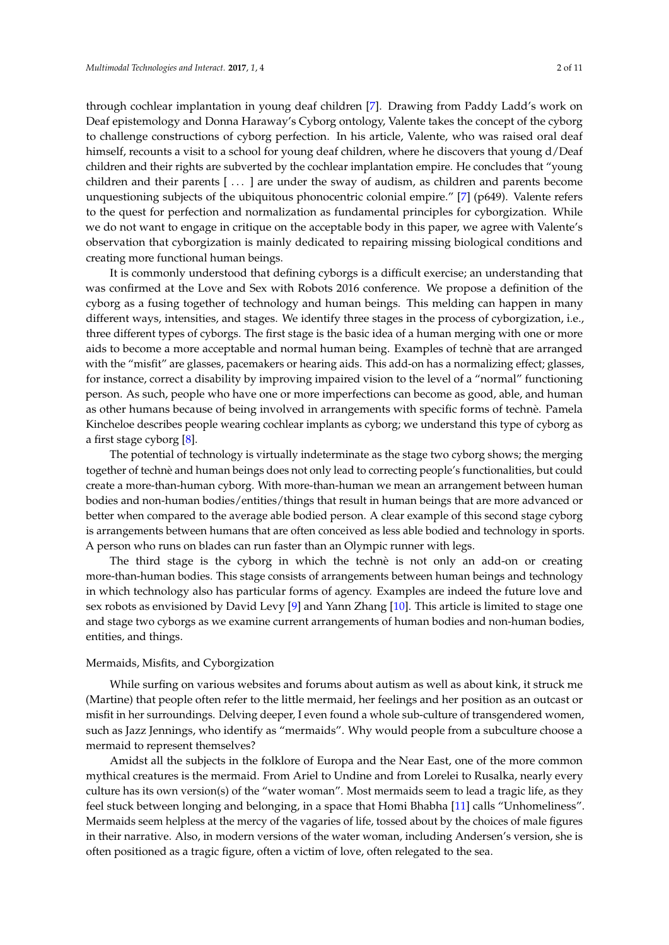through cochlear implantation in young deaf children [\[7\]](#page-9-0). Drawing from Paddy Ladd's work on Deaf epistemology and Donna Haraway's Cyborg ontology, Valente takes the concept of the cyborg to challenge constructions of cyborg perfection. In his article, Valente, who was raised oral deaf himself, recounts a visit to a school for young deaf children, where he discovers that young  $d/Deaf$ children and their rights are subverted by the cochlear implantation empire. He concludes that "young children and their parents [ . . . ] are under the sway of audism, as children and parents become unquestioning subjects of the ubiquitous phonocentric colonial empire." [\[7\]](#page-9-0) (p649). Valente refers to the quest for perfection and normalization as fundamental principles for cyborgization. While we do not want to engage in critique on the acceptable body in this paper, we agree with Valente's observation that cyborgization is mainly dedicated to repairing missing biological conditions and creating more functional human beings.

It is commonly understood that defining cyborgs is a difficult exercise; an understanding that was confirmed at the Love and Sex with Robots 2016 conference. We propose a definition of the cyborg as a fusing together of technology and human beings. This melding can happen in many different ways, intensities, and stages. We identify three stages in the process of cyborgization, i.e., three different types of cyborgs. The first stage is the basic idea of a human merging with one or more aids to become a more acceptable and normal human being. Examples of technè that are arranged with the "misfit" are glasses, pacemakers or hearing aids. This add-on has a normalizing effect; glasses, for instance, correct a disability by improving impaired vision to the level of a "normal" functioning person. As such, people who have one or more imperfections can become as good, able, and human as other humans because of being involved in arrangements with specific forms of technè. Pamela Kincheloe describes people wearing cochlear implants as cyborg; we understand this type of cyborg as a first stage cyborg  $[8]$ .

The potential of technology is virtually indeterminate as the stage two cyborg shows; the merging together of technè and human beings does not only lead to correcting people's functionalities, but could create a more-than-human cyborg. With more-than-human we mean an arrangement between human bodies and non-human bodies/entities/things that result in human beings that are more advanced or better when compared to the average able bodied person. A clear example of this second stage cyborg is arrangements between humans that are often conceived as less able bodied and technology in sports. A person who runs on blades can run faster than an Olympic runner with legs.

The third stage is the cyborg in which the technè is not only an add-on or creating more-than-human bodies. This stage consists of arrangements between human beings and technology in which technology also has particular forms of agency. Examples are indeed the future love and sex robots as envisioned by David Levy [\[9\]](#page-9-2) and Yann Zhang [\[10\]](#page-9-3). This article is limited to stage one and stage two cyborgs as we examine current arrangements of human bodies and non-human bodies, entities, and things.

#### Mermaids, Misfits, and Cyborgization

While surfing on various websites and forums about autism as well as about kink, it struck me (Martine) that people often refer to the little mermaid, her feelings and her position as an outcast or misfit in her surroundings. Delving deeper, I even found a whole sub-culture of transgendered women, such as Jazz Jennings, who identify as "mermaids". Why would people from a subculture choose a mermaid to represent themselves?

Amidst all the subjects in the folklore of Europa and the Near East, one of the more common mythical creatures is the mermaid. From Ariel to Undine and from Lorelei to Rusalka, nearly every culture has its own version(s) of the "water woman". Most mermaids seem to lead a tragic life, as they feel stuck between longing and belonging, in a space that Homi Bhabha [\[11\]](#page-9-4) calls "Unhomeliness". Mermaids seem helpless at the mercy of the vagaries of life, tossed about by the choices of male figures in their narrative. Also, in modern versions of the water woman, including Andersen's version, she is often positioned as a tragic figure, often a victim of love, often relegated to the sea.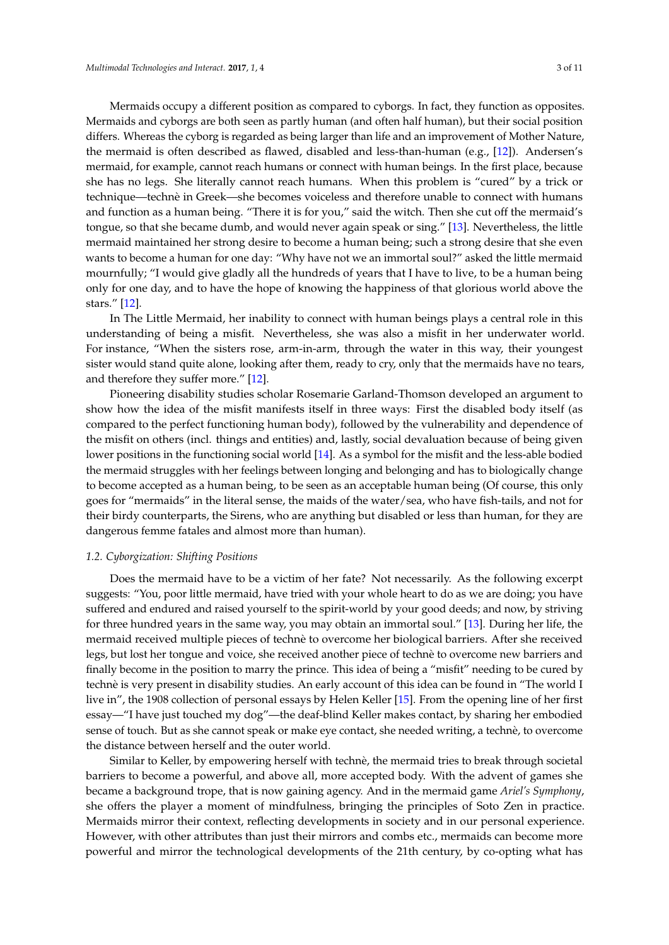Mermaids occupy a different position as compared to cyborgs. In fact, they function as opposites. Mermaids and cyborgs are both seen as partly human (and often half human), but their social position differs. Whereas the cyborg is regarded as being larger than life and an improvement of Mother Nature, the mermaid is often described as flawed, disabled and less-than-human (e.g., [\[12\]](#page-9-5)). Andersen's mermaid, for example, cannot reach humans or connect with human beings. In the first place, because she has no legs. She literally cannot reach humans. When this problem is "cured" by a trick or technique—technè in Greek—she becomes voiceless and therefore unable to connect with humans and function as a human being. "There it is for you," said the witch. Then she cut off the mermaid's tongue, so that she became dumb, and would never again speak or sing." [\[13\]](#page-9-6). Nevertheless, the little mermaid maintained her strong desire to become a human being; such a strong desire that she even wants to become a human for one day: "Why have not we an immortal soul?" asked the little mermaid mournfully; "I would give gladly all the hundreds of years that I have to live, to be a human being only for one day, and to have the hope of knowing the happiness of that glorious world above the stars." [\[12\]](#page-9-5).

In The Little Mermaid, her inability to connect with human beings plays a central role in this understanding of being a misfit. Nevertheless, she was also a misfit in her underwater world. For instance, "When the sisters rose, arm-in-arm, through the water in this way, their youngest sister would stand quite alone, looking after them, ready to cry, only that the mermaids have no tears, and therefore they suffer more." [\[12\]](#page-9-5).

Pioneering disability studies scholar Rosemarie Garland-Thomson developed an argument to show how the idea of the misfit manifests itself in three ways: First the disabled body itself (as compared to the perfect functioning human body), followed by the vulnerability and dependence of the misfit on others (incl. things and entities) and, lastly, social devaluation because of being given lower positions in the functioning social world [\[14\]](#page-9-7). As a symbol for the misfit and the less-able bodied the mermaid struggles with her feelings between longing and belonging and has to biologically change to become accepted as a human being, to be seen as an acceptable human being (Of course, this only goes for "mermaids" in the literal sense, the maids of the water/sea, who have fish-tails, and not for their birdy counterparts, the Sirens, who are anything but disabled or less than human, for they are dangerous femme fatales and almost more than human).

## *1.2. Cyborgization: Shifting Positions*

Does the mermaid have to be a victim of her fate? Not necessarily. As the following excerpt suggests: "You, poor little mermaid, have tried with your whole heart to do as we are doing; you have suffered and endured and raised yourself to the spirit-world by your good deeds; and now, by striving for three hundred years in the same way, you may obtain an immortal soul." [\[13\]](#page-9-6). During her life, the mermaid received multiple pieces of technè to overcome her biological barriers. After she received legs, but lost her tongue and voice, she received another piece of technè to overcome new barriers and finally become in the position to marry the prince. This idea of being a "misfit" needing to be cured by technè is very present in disability studies. An early account of this idea can be found in "The world I live in", the 1908 collection of personal essays by Helen Keller [\[15\]](#page-9-8). From the opening line of her first essay—"I have just touched my dog"—the deaf-blind Keller makes contact, by sharing her embodied sense of touch. But as she cannot speak or make eye contact, she needed writing, a technè, to overcome the distance between herself and the outer world.

Similar to Keller, by empowering herself with technè, the mermaid tries to break through societal barriers to become a powerful, and above all, more accepted body. With the advent of games she became a background trope, that is now gaining agency. And in the mermaid game *Ariel's Symphony*, she offers the player a moment of mindfulness, bringing the principles of Soto Zen in practice. Mermaids mirror their context, reflecting developments in society and in our personal experience. However, with other attributes than just their mirrors and combs etc., mermaids can become more powerful and mirror the technological developments of the 21th century, by co-opting what has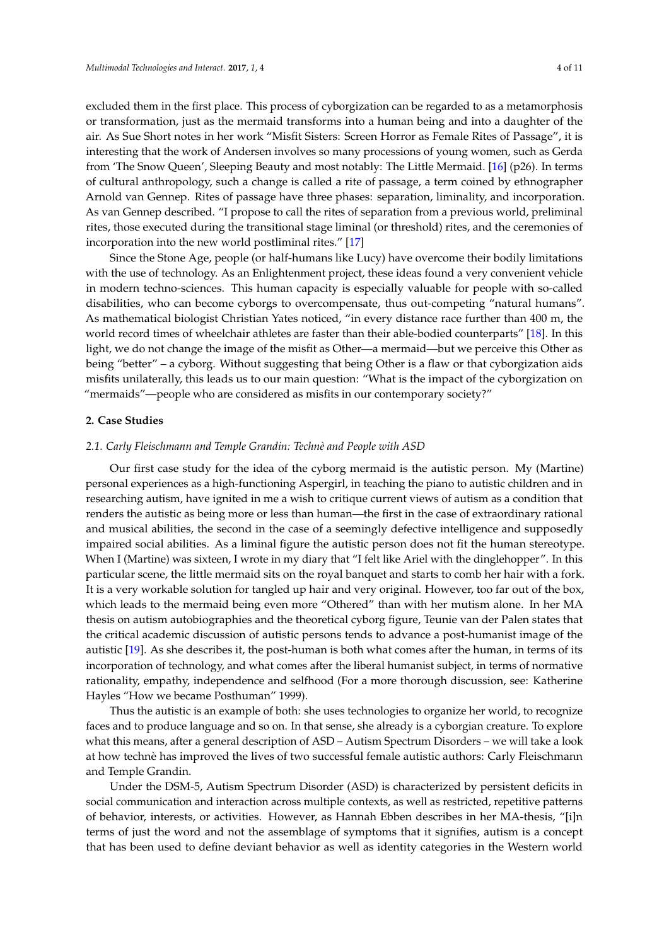excluded them in the first place. This process of cyborgization can be regarded to as a metamorphosis or transformation, just as the mermaid transforms into a human being and into a daughter of the air. As Sue Short notes in her work "Misfit Sisters: Screen Horror as Female Rites of Passage", it is interesting that the work of Andersen involves so many processions of young women, such as Gerda from 'The Snow Queen', Sleeping Beauty and most notably: The Little Mermaid. [\[16\]](#page-9-9) (p26). In terms of cultural anthropology, such a change is called a rite of passage, a term coined by ethnographer Arnold van Gennep. Rites of passage have three phases: separation, liminality, and incorporation. As van Gennep described. "I propose to call the rites of separation from a previous world, preliminal rites, those executed during the transitional stage liminal (or threshold) rites, and the ceremonies of incorporation into the new world postliminal rites." [\[17\]](#page-9-10)

Since the Stone Age, people (or half-humans like Lucy) have overcome their bodily limitations with the use of technology. As an Enlightenment project, these ideas found a very convenient vehicle in modern techno-sciences. This human capacity is especially valuable for people with so-called disabilities, who can become cyborgs to overcompensate, thus out-competing "natural humans". As mathematical biologist Christian Yates noticed, "in every distance race further than 400 m, the world record times of wheelchair athletes are faster than their able-bodied counterparts" [\[18\]](#page-9-11). In this light, we do not change the image of the misfit as Other—a mermaid—but we perceive this Other as being "better" – a cyborg. Without suggesting that being Other is a flaw or that cyborgization aids misfits unilaterally, this leads us to our main question: "What is the impact of the cyborgization on "mermaids"—people who are considered as misfits in our contemporary society?"

#### **2. Case Studies**

## *2.1. Carly Fleischmann and Temple Grandin: Technè and People with ASD*

Our first case study for the idea of the cyborg mermaid is the autistic person. My (Martine) personal experiences as a high-functioning Aspergirl, in teaching the piano to autistic children and in researching autism, have ignited in me a wish to critique current views of autism as a condition that renders the autistic as being more or less than human—the first in the case of extraordinary rational and musical abilities, the second in the case of a seemingly defective intelligence and supposedly impaired social abilities. As a liminal figure the autistic person does not fit the human stereotype. When I (Martine) was sixteen, I wrote in my diary that "I felt like Ariel with the dinglehopper". In this particular scene, the little mermaid sits on the royal banquet and starts to comb her hair with a fork. It is a very workable solution for tangled up hair and very original. However, too far out of the box, which leads to the mermaid being even more "Othered" than with her mutism alone. In her MA thesis on autism autobiographies and the theoretical cyborg figure, Teunie van der Palen states that the critical academic discussion of autistic persons tends to advance a post-humanist image of the autistic [\[19\]](#page-9-12). As she describes it, the post-human is both what comes after the human, in terms of its incorporation of technology, and what comes after the liberal humanist subject, in terms of normative rationality, empathy, independence and selfhood (For a more thorough discussion, see: Katherine Hayles "How we became Posthuman" 1999).

Thus the autistic is an example of both: she uses technologies to organize her world, to recognize faces and to produce language and so on. In that sense, she already is a cyborgian creature. To explore what this means, after a general description of ASD – Autism Spectrum Disorders – we will take a look at how technè has improved the lives of two successful female autistic authors: Carly Fleischmann and Temple Grandin.

Under the DSM-5, Autism Spectrum Disorder (ASD) is characterized by persistent deficits in social communication and interaction across multiple contexts, as well as restricted, repetitive patterns of behavior, interests, or activities. However, as Hannah Ebben describes in her MA-thesis, "[i]n terms of just the word and not the assemblage of symptoms that it signifies, autism is a concept that has been used to define deviant behavior as well as identity categories in the Western world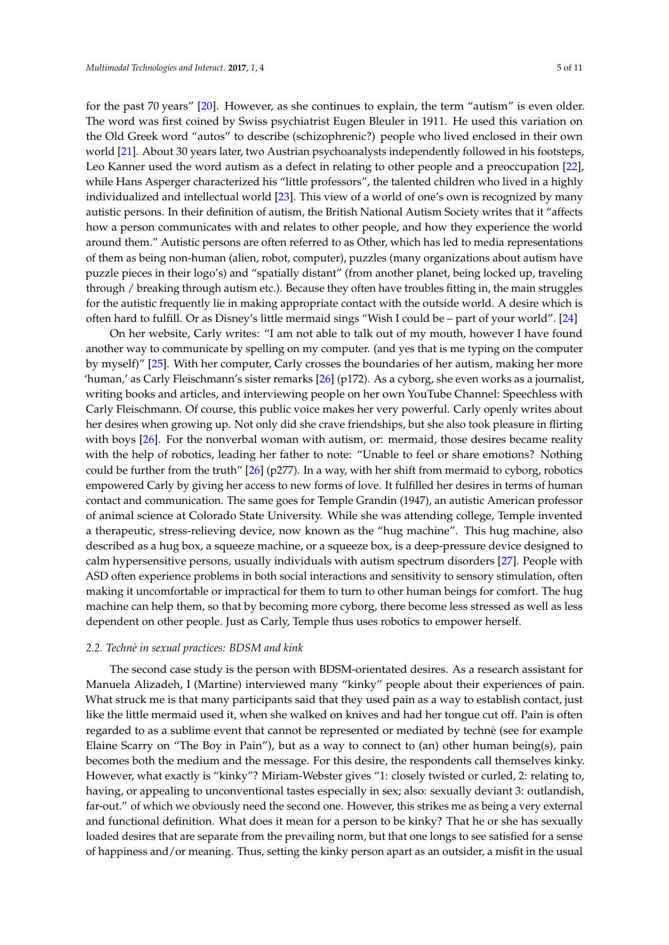for the past 70 years" [\[20\]](#page-9-13). However, as she continues to explain, the term "autism" is even older. The word was first coined by Swiss psychiatrist Eugen Bleuler in 1911. He used this variation on the Old Greek word "autos" to describe (schizophrenic?) people who lived enclosed in their own world [\[21\]](#page-9-14). About 30 years later, two Austrian psychoanalysts independently followed in his footsteps, Leo Kanner used the word autism as a defect in relating to other people and a preoccupation [\[22\]](#page-9-15), while Hans Asperger characterized his "little professors", the talented children who lived in a highly individualized and intellectual world [\[23\]](#page-9-16). This view of a world of one's own is recognized by many autistic persons. In their definition of autism, the British National Autism Society writes that it "affects how a person communicates with and relates to other people, and how they experience the world around them." Autistic persons are often referred to as Other, which has led to media representations of them as being non-human (alien, robot, computer), puzzles (many organizations about autism have puzzle pieces in their logo's) and "spatially distant" (from another planet, being locked up, traveling through / breaking through autism etc.). Because they often have troubles fitting in, the main struggles for the autistic frequently lie in making appropriate contact with the outside world. A desire which is often hard to fulfill. Or as Disney's little mermaid sings "Wish I could be – part of your world". [\[24\]](#page-9-17)

On her website, Carly writes: "I am not able to talk out of my mouth, however I have found another way to communicate by spelling on my computer. (and yes that is me typing on the computer by myself)" [\[25\]](#page-9-18). With her computer, Carly crosses the boundaries of her autism, making her more 'human,' as Carly Fleischmann's sister remarks [\[26\]](#page-9-19) (p172). As a cyborg, she even works as a journalist, writing books and articles, and interviewing people on her own YouTube Channel: Speechless with Carly Fleischmann. Of course, this public voice makes her very powerful. Carly openly writes about her desires when growing up. Not only did she crave friendships, but she also took pleasure in flirting with boys [\[26\]](#page-9-19). For the nonverbal woman with autism, or: mermaid, those desires became reality with the help of robotics, leading her father to note: "Unable to feel or share emotions? Nothing could be further from the truth" [\[26\]](#page-9-19) (p277). In a way, with her shift from mermaid to cyborg, robotics empowered Carly by giving her access to new forms of love. It fulfilled her desires in terms of human contact and communication. The same goes for Temple Grandin (1947), an autistic American professor of animal science at Colorado State University. While she was attending college, Temple invented a therapeutic, stress-relieving device, now known as the "hug machine". This hug machine, also described as a hug box, a squeeze machine, or a squeeze box, is a deep-pressure device designed to calm hypersensitive persons, usually individuals with autism spectrum disorders [\[27\]](#page-9-20). People with ASD often experience problems in both social interactions and sensitivity to sensory stimulation, often making it uncomfortable or impractical for them to turn to other human beings for comfort. The hug machine can help them, so that by becoming more cyborg, there become less stressed as well as less dependent on other people. Just as Carly, Temple thus uses robotics to empower herself.

## *2.2. Technè in sexual practices: BDSM and kink*

The second case study is the person with BDSM-orientated desires. As a research assistant for Manuela Alizadeh, I (Martine) interviewed many "kinky" people about their experiences of pain. What struck me is that many participants said that they used pain as a way to establish contact, just like the little mermaid used it, when she walked on knives and had her tongue cut off. Pain is often regarded to as a sublime event that cannot be represented or mediated by technè (see for example Elaine Scarry on "The Boy in Pain"), but as a way to connect to (an) other human being(s), pain becomes both the medium and the message. For this desire, the respondents call themselves kinky. However, what exactly is "kinky"? Miriam-Webster gives "1: closely twisted or curled, 2: relating to, having, or appealing to unconventional tastes especially in sex; also: sexually deviant 3: outlandish, far-out." of which we obviously need the second one. However, this strikes me as being a very external and functional definition. What does it mean for a person to be kinky? That he or she has sexually loaded desires that are separate from the prevailing norm, but that one longs to see satisfied for a sense of happiness and/or meaning. Thus, setting the kinky person apart as an outsider, a misfit in the usual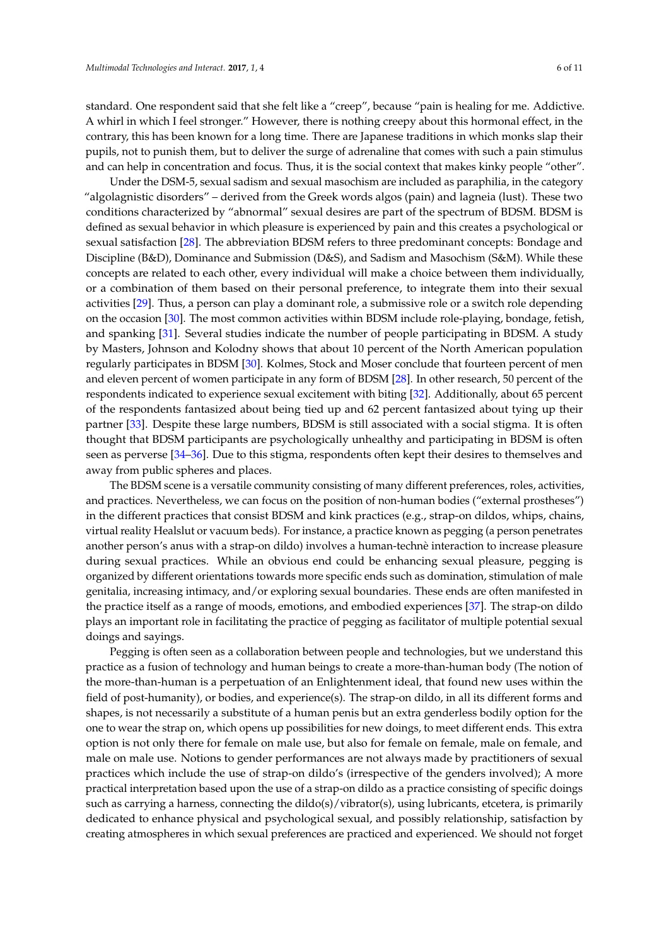standard. One respondent said that she felt like a "creep", because "pain is healing for me. Addictive. A whirl in which I feel stronger." However, there is nothing creepy about this hormonal effect, in the contrary, this has been known for a long time. There are Japanese traditions in which monks slap their pupils, not to punish them, but to deliver the surge of adrenaline that comes with such a pain stimulus and can help in concentration and focus. Thus, it is the social context that makes kinky people "other".

Under the DSM-5, sexual sadism and sexual masochism are included as paraphilia, in the category "algolagnistic disorders" – derived from the Greek words algos (pain) and lagneia (lust). These two conditions characterized by "abnormal" sexual desires are part of the spectrum of BDSM. BDSM is defined as sexual behavior in which pleasure is experienced by pain and this creates a psychological or sexual satisfaction [\[28\]](#page-9-21). The abbreviation BDSM refers to three predominant concepts: Bondage and Discipline (B&D), Dominance and Submission (D&S), and Sadism and Masochism (S&M). While these concepts are related to each other, every individual will make a choice between them individually, or a combination of them based on their personal preference, to integrate them into their sexual activities [\[29\]](#page-9-22). Thus, a person can play a dominant role, a submissive role or a switch role depending on the occasion [\[30\]](#page-9-23). The most common activities within BDSM include role-playing, bondage, fetish, and spanking [\[31\]](#page-9-24). Several studies indicate the number of people participating in BDSM. A study by Masters, Johnson and Kolodny shows that about 10 percent of the North American population regularly participates in BDSM [\[30\]](#page-9-23). Kolmes, Stock and Moser conclude that fourteen percent of men and eleven percent of women participate in any form of BDSM [\[28\]](#page-9-21). In other research, 50 percent of the respondents indicated to experience sexual excitement with biting [\[32\]](#page-10-0). Additionally, about 65 percent of the respondents fantasized about being tied up and 62 percent fantasized about tying up their partner [\[33\]](#page-10-1). Despite these large numbers, BDSM is still associated with a social stigma. It is often thought that BDSM participants are psychologically unhealthy and participating in BDSM is often seen as perverse [\[34](#page-10-2)[–36\]](#page-10-3). Due to this stigma, respondents often kept their desires to themselves and away from public spheres and places.

The BDSM scene is a versatile community consisting of many different preferences, roles, activities, and practices. Nevertheless, we can focus on the position of non-human bodies ("external prostheses") in the different practices that consist BDSM and kink practices (e.g., strap-on dildos, whips, chains, virtual reality Healslut or vacuum beds). For instance, a practice known as pegging (a person penetrates another person's anus with a strap-on dildo) involves a human-technè interaction to increase pleasure during sexual practices. While an obvious end could be enhancing sexual pleasure, pegging is organized by different orientations towards more specific ends such as domination, stimulation of male genitalia, increasing intimacy, and/or exploring sexual boundaries. These ends are often manifested in the practice itself as a range of moods, emotions, and embodied experiences [\[37\]](#page-10-4). The strap-on dildo plays an important role in facilitating the practice of pegging as facilitator of multiple potential sexual doings and sayings.

Pegging is often seen as a collaboration between people and technologies, but we understand this practice as a fusion of technology and human beings to create a more-than-human body (The notion of the more-than-human is a perpetuation of an Enlightenment ideal, that found new uses within the field of post-humanity), or bodies, and experience(s). The strap-on dildo, in all its different forms and shapes, is not necessarily a substitute of a human penis but an extra genderless bodily option for the one to wear the strap on, which opens up possibilities for new doings, to meet different ends. This extra option is not only there for female on male use, but also for female on female, male on female, and male on male use. Notions to gender performances are not always made by practitioners of sexual practices which include the use of strap-on dildo's (irrespective of the genders involved); A more practical interpretation based upon the use of a strap-on dildo as a practice consisting of specific doings such as carrying a harness, connecting the dildo(s)/vibrator(s), using lubricants, etcetera, is primarily dedicated to enhance physical and psychological sexual, and possibly relationship, satisfaction by creating atmospheres in which sexual preferences are practiced and experienced. We should not forget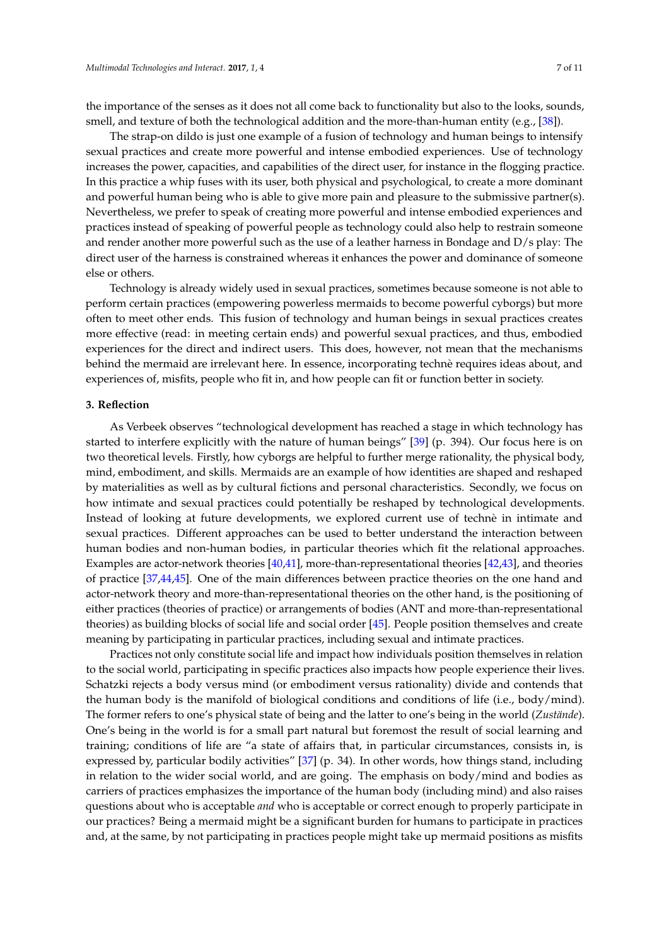the importance of the senses as it does not all come back to functionality but also to the looks, sounds, smell, and texture of both the technological addition and the more-than-human entity (e.g., [\[38\]](#page-10-5)).

The strap-on dildo is just one example of a fusion of technology and human beings to intensify sexual practices and create more powerful and intense embodied experiences. Use of technology increases the power, capacities, and capabilities of the direct user, for instance in the flogging practice. In this practice a whip fuses with its user, both physical and psychological, to create a more dominant and powerful human being who is able to give more pain and pleasure to the submissive partner(s). Nevertheless, we prefer to speak of creating more powerful and intense embodied experiences and practices instead of speaking of powerful people as technology could also help to restrain someone and render another more powerful such as the use of a leather harness in Bondage and D/s play: The direct user of the harness is constrained whereas it enhances the power and dominance of someone else or others.

Technology is already widely used in sexual practices, sometimes because someone is not able to perform certain practices (empowering powerless mermaids to become powerful cyborgs) but more often to meet other ends. This fusion of technology and human beings in sexual practices creates more effective (read: in meeting certain ends) and powerful sexual practices, and thus, embodied experiences for the direct and indirect users. This does, however, not mean that the mechanisms behind the mermaid are irrelevant here. In essence, incorporating technè requires ideas about, and experiences of, misfits, people who fit in, and how people can fit or function better in society.

#### **3. Reflection**

As Verbeek observes "technological development has reached a stage in which technology has started to interfere explicitly with the nature of human beings" [\[39\]](#page-10-6) (p. 394). Our focus here is on two theoretical levels. Firstly, how cyborgs are helpful to further merge rationality, the physical body, mind, embodiment, and skills. Mermaids are an example of how identities are shaped and reshaped by materialities as well as by cultural fictions and personal characteristics. Secondly, we focus on how intimate and sexual practices could potentially be reshaped by technological developments. Instead of looking at future developments, we explored current use of technè in intimate and sexual practices. Different approaches can be used to better understand the interaction between human bodies and non-human bodies, in particular theories which fit the relational approaches. Examples are actor-network theories [\[40,](#page-10-7)[41\]](#page-10-8), more-than-representational theories [\[42](#page-10-9)[,43\]](#page-10-10), and theories of practice [\[37](#page-10-4)[,44](#page-10-11)[,45\]](#page-10-12). One of the main differences between practice theories on the one hand and actor-network theory and more-than-representational theories on the other hand, is the positioning of either practices (theories of practice) or arrangements of bodies (ANT and more-than-representational theories) as building blocks of social life and social order [\[45\]](#page-10-12). People position themselves and create meaning by participating in particular practices, including sexual and intimate practices.

Practices not only constitute social life and impact how individuals position themselves in relation to the social world, participating in specific practices also impacts how people experience their lives. Schatzki rejects a body versus mind (or embodiment versus rationality) divide and contends that the human body is the manifold of biological conditions and conditions of life (i.e., body/mind). The former refers to one's physical state of being and the latter to one's being in the world (*Zustände*). One's being in the world is for a small part natural but foremost the result of social learning and training; conditions of life are "a state of affairs that, in particular circumstances, consists in, is expressed by, particular bodily activities" [\[37\]](#page-10-4) (p. 34). In other words, how things stand, including in relation to the wider social world, and are going. The emphasis on body/mind and bodies as carriers of practices emphasizes the importance of the human body (including mind) and also raises questions about who is acceptable *and* who is acceptable or correct enough to properly participate in our practices? Being a mermaid might be a significant burden for humans to participate in practices and, at the same, by not participating in practices people might take up mermaid positions as misfits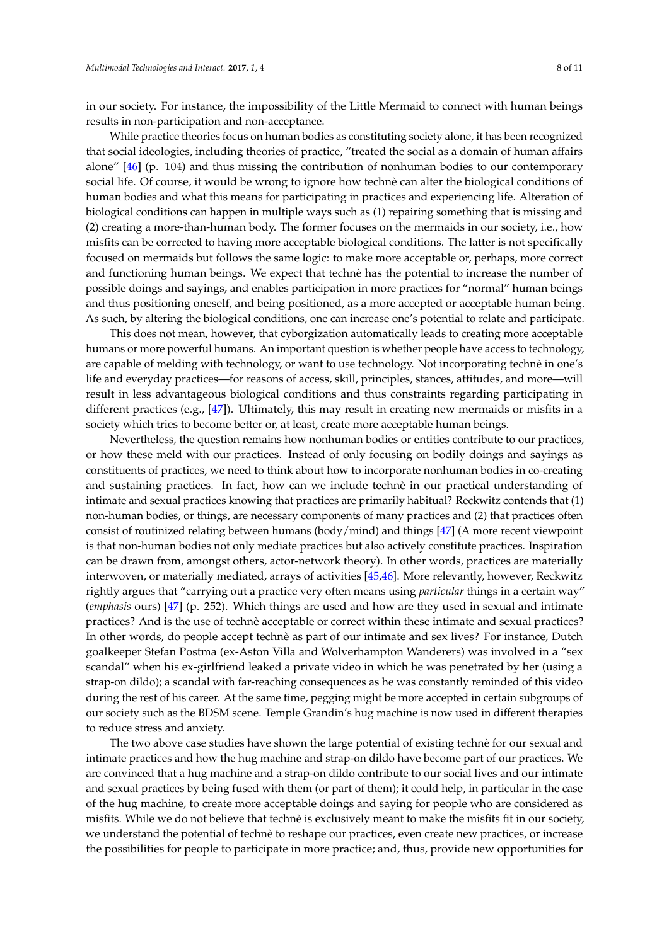in our society. For instance, the impossibility of the Little Mermaid to connect with human beings results in non-participation and non-acceptance.

While practice theories focus on human bodies as constituting society alone, it has been recognized that social ideologies, including theories of practice, "treated the social as a domain of human affairs alone" [\[46\]](#page-10-13) (p. 104) and thus missing the contribution of nonhuman bodies to our contemporary social life. Of course, it would be wrong to ignore how technè can alter the biological conditions of human bodies and what this means for participating in practices and experiencing life. Alteration of biological conditions can happen in multiple ways such as (1) repairing something that is missing and (2) creating a more-than-human body. The former focuses on the mermaids in our society, i.e., how misfits can be corrected to having more acceptable biological conditions. The latter is not specifically focused on mermaids but follows the same logic: to make more acceptable or, perhaps, more correct and functioning human beings. We expect that technè has the potential to increase the number of possible doings and sayings, and enables participation in more practices for "normal" human beings and thus positioning oneself, and being positioned, as a more accepted or acceptable human being. As such, by altering the biological conditions, one can increase one's potential to relate and participate.

This does not mean, however, that cyborgization automatically leads to creating more acceptable humans or more powerful humans. An important question is whether people have access to technology, are capable of melding with technology, or want to use technology. Not incorporating technè in one's life and everyday practices—for reasons of access, skill, principles, stances, attitudes, and more—will result in less advantageous biological conditions and thus constraints regarding participating in different practices (e.g., [\[47\]](#page-10-14)). Ultimately, this may result in creating new mermaids or misfits in a society which tries to become better or, at least, create more acceptable human beings.

Nevertheless, the question remains how nonhuman bodies or entities contribute to our practices, or how these meld with our practices. Instead of only focusing on bodily doings and sayings as constituents of practices, we need to think about how to incorporate nonhuman bodies in co-creating and sustaining practices. In fact, how can we include technè in our practical understanding of intimate and sexual practices knowing that practices are primarily habitual? Reckwitz contends that (1) non-human bodies, or things, are necessary components of many practices and (2) that practices often consist of routinized relating between humans (body/mind) and things [\[47\]](#page-10-14) (A more recent viewpoint is that non-human bodies not only mediate practices but also actively constitute practices. Inspiration can be drawn from, amongst others, actor-network theory). In other words, practices are materially interwoven, or materially mediated, arrays of activities [\[45](#page-10-12)[,46\]](#page-10-13). More relevantly, however, Reckwitz rightly argues that "carrying out a practice very often means using *particular* things in a certain way" (*emphasis* ours) [\[47\]](#page-10-14) (p. 252). Which things are used and how are they used in sexual and intimate practices? And is the use of technè acceptable or correct within these intimate and sexual practices? In other words, do people accept technè as part of our intimate and sex lives? For instance, Dutch goalkeeper Stefan Postma (ex-Aston Villa and Wolverhampton Wanderers) was involved in a "sex scandal" when his ex-girlfriend leaked a private video in which he was penetrated by her (using a strap-on dildo); a scandal with far-reaching consequences as he was constantly reminded of this video during the rest of his career. At the same time, pegging might be more accepted in certain subgroups of our society such as the BDSM scene. Temple Grandin's hug machine is now used in different therapies to reduce stress and anxiety.

The two above case studies have shown the large potential of existing technè for our sexual and intimate practices and how the hug machine and strap-on dildo have become part of our practices. We are convinced that a hug machine and a strap-on dildo contribute to our social lives and our intimate and sexual practices by being fused with them (or part of them); it could help, in particular in the case of the hug machine, to create more acceptable doings and saying for people who are considered as misfits. While we do not believe that technè is exclusively meant to make the misfits fit in our society, we understand the potential of technè to reshape our practices, even create new practices, or increase the possibilities for people to participate in more practice; and, thus, provide new opportunities for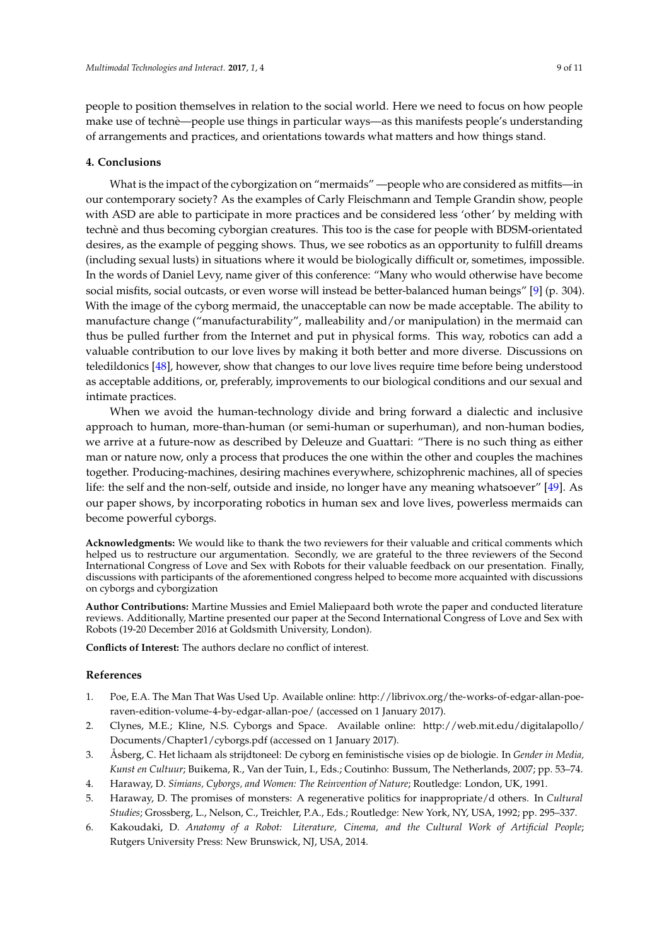people to position themselves in relation to the social world. Here we need to focus on how people make use of technè—people use things in particular ways—as this manifests people's understanding of arrangements and practices, and orientations towards what matters and how things stand.

# **4. Conclusions**

What is the impact of the cyborgization on "mermaids" —people who are considered as mitfits—in our contemporary society? As the examples of Carly Fleischmann and Temple Grandin show, people with ASD are able to participate in more practices and be considered less 'other' by melding with technè and thus becoming cyborgian creatures. This too is the case for people with BDSM-orientated desires, as the example of pegging shows. Thus, we see robotics as an opportunity to fulfill dreams (including sexual lusts) in situations where it would be biologically difficult or, sometimes, impossible. In the words of Daniel Levy, name giver of this conference: "Many who would otherwise have become social misfits, social outcasts, or even worse will instead be better-balanced human beings" [\[9\]](#page-9-2) (p. 304). With the image of the cyborg mermaid, the unacceptable can now be made acceptable. The ability to manufacture change ("manufacturability", malleability and/or manipulation) in the mermaid can thus be pulled further from the Internet and put in physical forms. This way, robotics can add a valuable contribution to our love lives by making it both better and more diverse. Discussions on teledildonics [\[48\]](#page-10-15), however, show that changes to our love lives require time before being understood as acceptable additions, or, preferably, improvements to our biological conditions and our sexual and intimate practices.

When we avoid the human-technology divide and bring forward a dialectic and inclusive approach to human, more-than-human (or semi-human or superhuman), and non-human bodies, we arrive at a future-now as described by Deleuze and Guattari: "There is no such thing as either man or nature now, only a process that produces the one within the other and couples the machines together. Producing-machines, desiring machines everywhere, schizophrenic machines, all of species life: the self and the non-self, outside and inside, no longer have any meaning whatsoever" [\[49\]](#page-10-16). As our paper shows, by incorporating robotics in human sex and love lives, powerless mermaids can become powerful cyborgs.

**Acknowledgments:** We would like to thank the two reviewers for their valuable and critical comments which helped us to restructure our argumentation. Secondly, we are grateful to the three reviewers of the Second International Congress of Love and Sex with Robots for their valuable feedback on our presentation. Finally, discussions with participants of the aforementioned congress helped to become more acquainted with discussions on cyborgs and cyborgization

**Author Contributions:** Martine Mussies and Emiel Maliepaard both wrote the paper and conducted literature reviews. Additionally, Martine presented our paper at the Second International Congress of Love and Sex with Robots (19-20 December 2016 at Goldsmith University, London).

**Conflicts of Interest:** The authors declare no conflict of interest.

## **References**

- <span id="page-8-0"></span>1. Poe, E.A. The Man That Was Used Up. Available online: [http://librivox.org/the-works-of-edgar-allan-poe](http://librivox.org/the-works-of-edgar-allan-poe-raven-edition-volume-4-by-edgar-allan-poe/)[raven-edition-volume-4-by-edgar-allan-poe/](http://librivox.org/the-works-of-edgar-allan-poe-raven-edition-volume-4-by-edgar-allan-poe/) (accessed on 1 January 2017).
- <span id="page-8-1"></span>2. Clynes, M.E.; Kline, N.S. Cyborgs and Space. Available online: [http://web.mit.edu/digitalapollo/](http://web.mit.edu/digitalapollo/Documents/Chapter1/cyborgs.pdf) [Documents/Chapter1/cyborgs.pdf](http://web.mit.edu/digitalapollo/Documents/Chapter1/cyborgs.pdf) (accessed on 1 January 2017).
- <span id="page-8-2"></span>3. Åsberg, C. Het lichaam als strijdtoneel: De cyborg en feministische visies op de biologie. In *Gender in Media, Kunst en Cultuur*; Buikema, R., Van der Tuin, I., Eds.; Coutinho: Bussum, The Netherlands, 2007; pp. 53–74.
- <span id="page-8-3"></span>4. Haraway, D. *Simians, Cyborgs, and Women: The Reinvention of Nature*; Routledge: London, UK, 1991.
- <span id="page-8-4"></span>5. Haraway, D. The promises of monsters: A regenerative politics for inappropriate/d others. In *Cultural Studies*; Grossberg, L., Nelson, C., Treichler, P.A., Eds.; Routledge: New York, NY, USA, 1992; pp. 295–337.
- <span id="page-8-5"></span>6. Kakoudaki, D. *Anatomy of a Robot: Literature, Cinema, and the Cultural Work of Artificial People*; Rutgers University Press: New Brunswick, NJ, USA, 2014.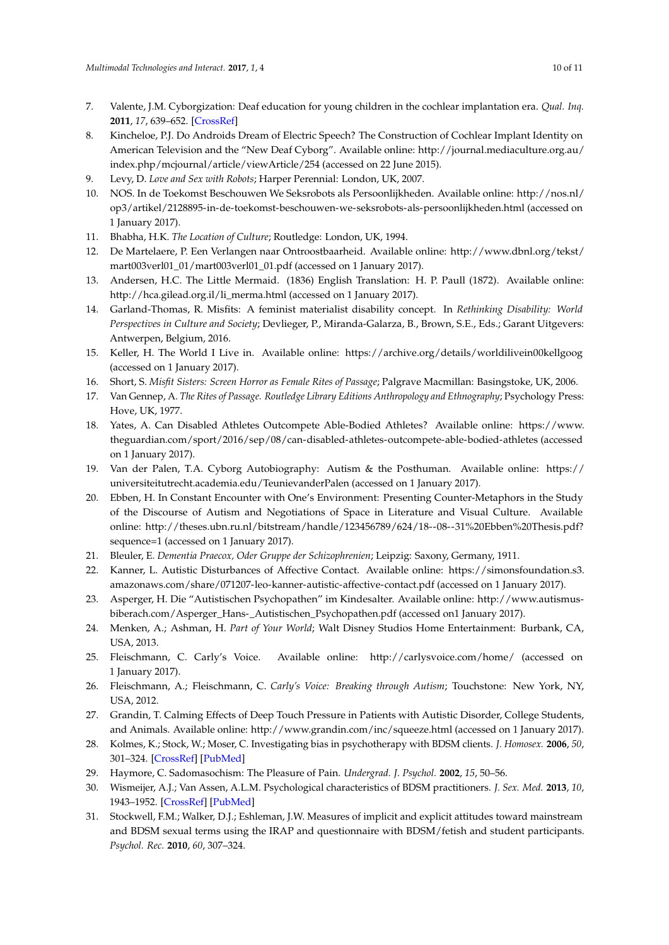- <span id="page-9-0"></span>7. Valente, J.M. Cyborgization: Deaf education for young children in the cochlear implantation era. *Qual. Inq.* **2011**, *17*, 639–652. [\[CrossRef\]](http://dx.doi.org/10.1177/1077800411414006)
- <span id="page-9-1"></span>8. Kincheloe, P.J. Do Androids Dream of Electric Speech? The Construction of Cochlear Implant Identity on American Television and the "New Deaf Cyborg". Available online: [http://journal.mediaculture.org.au/](http://journal.media culture.org.au/index.php/mcjournal/article/ viewArticle/254) [index.php/mcjournal/article/viewArticle/254](http://journal.media culture.org.au/index.php/mcjournal/article/ viewArticle/254) (accessed on 22 June 2015).
- <span id="page-9-2"></span>9. Levy, D. *Love and Sex with Robots*; Harper Perennial: London, UK, 2007.
- <span id="page-9-3"></span>10. NOS. In de Toekomst Beschouwen We Seksrobots als Persoonlijkheden. Available online: [http://nos.nl/](http://nos.nl/op3/artikel/2128895-in-de-toekomst-beschouwen-we-seksrobots-als-persoonlijkheden.html) [op3/artikel/2128895-in-de-toekomst-beschouwen-we-seksrobots-als-persoonlijkheden.html](http://nos.nl/op3/artikel/2128895-in-de-toekomst-beschouwen-we-seksrobots-als-persoonlijkheden.html) (accessed on 1 January 2017).
- <span id="page-9-4"></span>11. Bhabha, H.K. *The Location of Culture*; Routledge: London, UK, 1994.
- <span id="page-9-5"></span>12. De Martelaere, P. Een Verlangen naar Ontroostbaarheid. Available online: [http://www.dbnl.org/tekst/](http://www.dbnl.org/tekst/mart003verl01_01/mart003verl01_01.pdf) [mart003verl01\\_01/mart003verl01\\_01.pdf](http://www.dbnl.org/tekst/mart003verl01_01/mart003verl01_01.pdf) (accessed on 1 January 2017).
- <span id="page-9-6"></span>13. Andersen, H.C. The Little Mermaid. (1836) English Translation: H. P. Paull (1872). Available online: [http://hca.gilead.org.il/li\\_merma.html](http://hca.gilead.org.il/li_merma.html) (accessed on 1 January 2017).
- <span id="page-9-7"></span>14. Garland-Thomas, R. Misfits: A feminist materialist disability concept. In *Rethinking Disability: World Perspectives in Culture and Society*; Devlieger, P., Miranda-Galarza, B., Brown, S.E., Eds.; Garant Uitgevers: Antwerpen, Belgium, 2016.
- <span id="page-9-8"></span>15. Keller, H. The World I Live in. Available online: <https://archive.org/details/worldilivein00kellgoog> (accessed on 1 January 2017).
- <span id="page-9-9"></span>16. Short, S. *Misfit Sisters: Screen Horror as Female Rites of Passage*; Palgrave Macmillan: Basingstoke, UK, 2006.
- <span id="page-9-10"></span>17. Van Gennep, A. *The Rites of Passage. Routledge Library Editions Anthropology and Ethnography*; Psychology Press: Hove, UK, 1977.
- <span id="page-9-11"></span>18. Yates, A. Can Disabled Athletes Outcompete Able-Bodied Athletes? Available online: [https://www.](https://www.theguardian.com/sport/2016/sep/08/can-disabled-athletes-outcompete-able-bodied-athletes) [theguardian.com/sport/2016/sep/08/can-disabled-athletes-outcompete-able-bodied-athletes](https://www.theguardian.com/sport/2016/sep/08/can-disabled-athletes-outcompete-able-bodied-athletes) (accessed on 1 January 2017).
- <span id="page-9-12"></span>19. Van der Palen, T.A. Cyborg Autobiography: Autism & the Posthuman. Available online: [https://](https://universiteitutrecht.academia.edu/TeunievanderPalen) [universiteitutrecht.academia.edu/TeunievanderPalen](https://universiteitutrecht.academia.edu/TeunievanderPalen) (accessed on 1 January 2017).
- <span id="page-9-13"></span>20. Ebben, H. In Constant Encounter with One's Environment: Presenting Counter-Metaphors in the Study of the Discourse of Autism and Negotiations of Space in Literature and Visual Culture. Available online: [http://theses.ubn.ru.nl/bitstream/handle/123456789/624/18--08--31%20Ebben%20Thesis.pdf?](http://theses.ubn.ru.nl/bitstream/handle/123456789/624/18--08--31%20Ebben%20Thesis.pdf?sequence=1) [sequence=1](http://theses.ubn.ru.nl/bitstream/handle/123456789/624/18--08--31%20Ebben%20Thesis.pdf?sequence=1) (accessed on 1 January 2017).
- <span id="page-9-14"></span>21. Bleuler, E. *Dementia Praecox, Oder Gruppe der Schizophrenien*; Leipzig: Saxony, Germany, 1911.
- <span id="page-9-15"></span>22. Kanner, L. Autistic Disturbances of Affective Contact. Available online: [https://simonsfoundation.s3.](https://simonsfoundation.s3.amazonaws.com/share/071207-leo-kanner-autistic-affective-contact.pdf) [amazonaws.com/share/071207-leo-kanner-autistic-affective-contact.pdf](https://simonsfoundation.s3.amazonaws.com/share/071207-leo-kanner-autistic-affective-contact.pdf) (accessed on 1 January 2017).
- <span id="page-9-16"></span>23. Asperger, H. Die "Autistischen Psychopathen" im Kindesalter. Available online: [http://www.autismus](http://www.autismus-biberach.com/Asperger_Hans-_Autistischen_Psychopathen.pdf)[biberach.com/Asperger\\_Hans-\\_Autistischen\\_Psychopathen.pdf](http://www.autismus-biberach.com/Asperger_Hans-_Autistischen_Psychopathen.pdf) (accessed on1 January 2017).
- <span id="page-9-17"></span>24. Menken, A.; Ashman, H. *Part of Your World*; Walt Disney Studios Home Entertainment: Burbank, CA, USA, 2013.
- <span id="page-9-18"></span>25. Fleischmann, C. Carly's Voice. Available online: <http://carlysvoice.com/home/> (accessed on 1 January 2017).
- <span id="page-9-19"></span>26. Fleischmann, A.; Fleischmann, C. *Carly's Voice: Breaking through Autism*; Touchstone: New York, NY, USA, 2012.
- <span id="page-9-20"></span>27. Grandin, T. Calming Effects of Deep Touch Pressure in Patients with Autistic Disorder, College Students, and Animals. Available online: <http://www.grandin.com/inc/squeeze.html> (accessed on 1 January 2017).
- <span id="page-9-21"></span>28. Kolmes, K.; Stock, W.; Moser, C. Investigating bias in psychotherapy with BDSM clients. *J. Homosex.* **2006**, *50*, 301–324. [\[CrossRef\]](http://dx.doi.org/10.1300/J082v50n02_15) [\[PubMed\]](http://www.ncbi.nlm.nih.gov/pubmed/16803769)
- <span id="page-9-22"></span>29. Haymore, C. Sadomasochism: The Pleasure of Pain. *Undergrad. J. Psychol.* **2002**, *15*, 50–56.
- <span id="page-9-23"></span>30. Wismeijer, A.J.; Van Assen, A.L.M. Psychological characteristics of BDSM practitioners. *J. Sex. Med.* **2013**, *10*, 1943–1952. [\[CrossRef\]](http://dx.doi.org/10.1111/jsm.12192) [\[PubMed\]](http://www.ncbi.nlm.nih.gov/pubmed/23679066)
- <span id="page-9-24"></span>31. Stockwell, F.M.; Walker, D.J.; Eshleman, J.W. Measures of implicit and explicit attitudes toward mainstream and BDSM sexual terms using the IRAP and questionnaire with BDSM/fetish and student participants. *Psychol. Rec.* **2010**, *60*, 307–324.